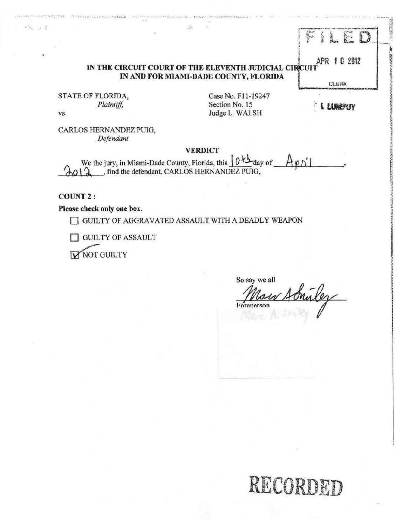# IN THE CIRCUIT COURT OF THE ELEVENTH JUDICIAL CIRCUIT APR 1 0 2012 IN AND FOR MIAMI-DADE COUNTY, FLORIDA

STATE OF FLORIDA, Plaintiff, VS.

Case No. F11-19247 Section No. 15 Judge L. WALSH

I LU<del>mp</del>uy

**CLERK** 

 $\sum_{k=1}^{\infty}$ 

三度

B

CARLOS HERNANDEZ PUIG, Defendant

#### **VERDICT**

We the jury, in Miami-Dade County, Florida, this  $(0 + \Delta \cos \theta)$  $A$ pril  $012$ , find the defendant, CARLOS HERNANDEZ PUIG,

**COUNT 2:** 

 $\mathcal{L}_{\text{H}} = 1.5$ 

Please check only one box.

GUILTY OF AGGRAVATED ASSAULT WITH A DEADLY WEAPON

**GUILTY OF ASSAULT** 

**MOT GUILTY** 

So say we all au Adrilez Forenerson

# RECORDED